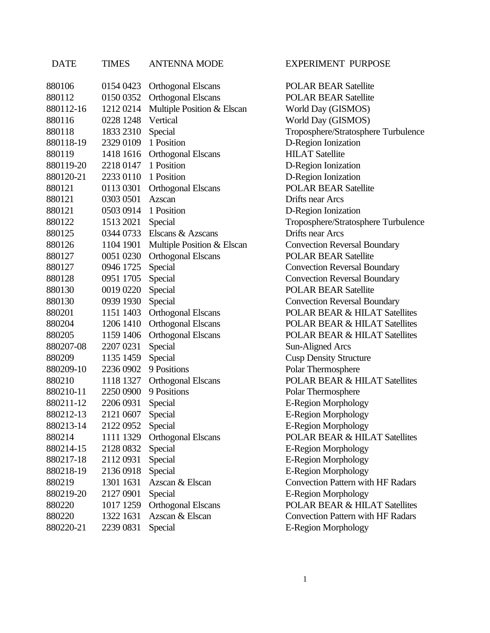| DATE      | TIMES     | ANTENNA MODE               |
|-----------|-----------|----------------------------|
| 880106    | 0154 0423 | <b>Orthogonal Elscans</b>  |
| 880112    | 0150 0352 | <b>Orthogonal Elscans</b>  |
| 880112-16 | 12120214  | Multiple Position & Elscar |
| 880116    | 0228 1248 | Vertical                   |
| 880118    | 1833 2310 | Special                    |
| 880118-19 | 2329 0109 | 1 Position                 |
| 880119    | 1418 1616 | <b>Orthogonal Elscans</b>  |
| 880119-20 | 2218 0147 | 1 Position                 |
| 880120-21 | 2233 0110 | 1 Position                 |
| 880121    | 0113 0301 | <b>Orthogonal Elscans</b>  |
| 880121    | 0303 0501 | <b>Azscan</b>              |
| 880121    | 0503 0914 | 1 Position                 |
| 880122    | 1513 2021 | Special                    |
| 880125    | 0344 0733 | Elscans & Azscans          |
| 880126    | 1104 1901 | Multiple Position & Elscar |
| 880127    | 0051 0230 | <b>Orthogonal Elscans</b>  |
| 880127    | 0946 1725 | Special                    |
| 880128    | 0951 1705 | Special                    |
| 880130    | 0019 0220 | Special                    |
| 880130    | 0939 1930 | Special                    |
| 880201    | 1151 1403 | <b>Orthogonal Elscans</b>  |
| 880204    | 1206 1410 | <b>Orthogonal Elscans</b>  |
| 880205    | 1159 1406 | Orthogonal Elscans         |
| 880207-08 | 2207 0231 | Special                    |
| 880209    | 1135 1459 | Special                    |
| 880209-10 | 2236 0902 | 9 Positions                |
| 880210    | 1118 1327 | <b>Orthogonal Elscans</b>  |
| 880210-11 | 2250 0900 | 9 Positions                |
| 880211-12 | 2206 0931 | Special                    |
| 880212-13 | 2121 0607 | Special                    |
| 880213-14 | 2122 0952 | Special                    |
| 880214    | 1111 1329 | <b>Orthogonal Elscans</b>  |
| 880214-15 | 2128 0832 | Special                    |
| 880217-18 | 2112 0931 | Special                    |
| 880218-19 | 2136 0918 | Special                    |
| 880219    | 1301 1631 | Azscan & Elscan            |
| 880219-20 | 2127 0901 | Special                    |
| 880220    | 1017 1259 | <b>Orthogonal Elscans</b>  |
| 880220    | 1322 1631 | Azscan & Elscan            |
| 880220-21 | 2239 0831 | Special                    |

## EXPERIMENT PURPOSE

POLAR BEAR Satellite POLAR BEAR Satellite n World Day (GISMOS) World Day (GISMOS) Troposphere/Stratosphere Turbulence D-Region Ionization **HILAT Satellite** D-Region Ionization D-Region Ionization **POLAR BEAR Satellite Drifts near Arcs** D-Region Ionization Troposphere/Stratosphere Turbulence Drifts near Arcs 880126 1104 1901 Multiple Position & Elscan Convection Reversal Boundary **POLAR BEAR Satellite Convection Reversal Boundary Convection Reversal Boundary** POLAR BEAR Satellite **Convection Reversal Boundary** POLAR BEAR & HILAT Satellites POLAR BEAR & HILAT Satellites **POLAR BEAR & HILAT Satellites** Sun-Aligned Arcs **Cusp Density Structure** Polar Thermosphere POLAR BEAR & HILAT Satellites Polar Thermosphere E-Region Morphology E-Region Morphology E-Region Morphology **POLAR BEAR & HILAT Satellites** E-Region Morphology E-Region Morphology E-Region Morphology Convection Pattern with HF Radars E-Region Morphology POLAR BEAR & HILAT Satellites Convection Pattern with HF Radars E-Region Morphology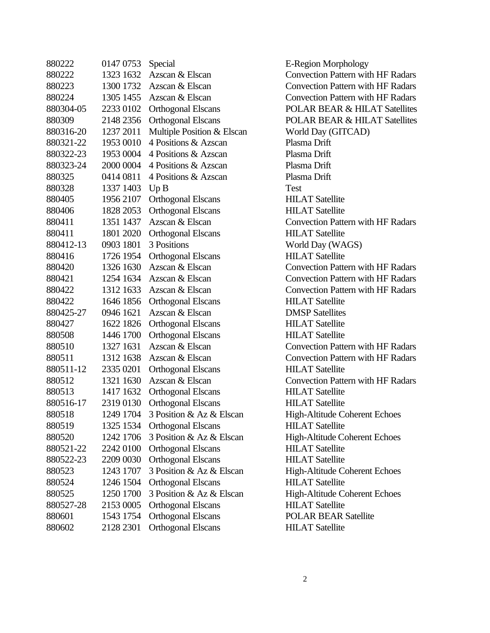| 880222    | 0147 0753 | Special                    | $E-R$ |
|-----------|-----------|----------------------------|-------|
| 880222    | 1323 1632 | Azscan & Elscan            | Con   |
| 880223    | 1300 1732 | Azscan & Elscan            | Con   |
| 880224    | 1305 1455 | Azscan & Elscan            | Con   |
| 880304-05 | 2233 0102 | <b>Orthogonal Elscans</b>  | POL   |
| 880309    | 2148 2356 | <b>Orthogonal Elscans</b>  | POL   |
| 880316-20 | 1237 2011 | Multiple Position & Elscan | Wor   |
| 880321-22 | 1953 0010 | 4 Positions & Azscan       | Plasi |
| 880322-23 | 1953 0004 | 4 Positions & Azscan       | Plasi |
| 880323-24 | 2000 0004 | 4 Positions & Azscan       | Plasi |
| 880325    | 0414 0811 | 4 Positions & Azscan       | Plasi |
| 880328    | 1337 1403 | Up B                       | Test  |
| 880405    | 1956 2107 | <b>Orthogonal Elscans</b>  | HIL.  |
| 880406    | 1828 2053 | <b>Orthogonal Elscans</b>  | HIL.  |
| 880411    | 1351 1437 | Azscan & Elscan            | Con   |
| 880411    | 1801 2020 | <b>Orthogonal Elscans</b>  | HIL.  |
| 880412-13 | 0903 1801 | 3 Positions                | Wor   |
| 880416    | 1726 1954 | <b>Orthogonal Elscans</b>  | HIL.  |
| 880420    | 1326 1630 | Azscan & Elscan            | Con   |
| 880421    | 1254 1634 | Azscan & Elscan            | Con   |
| 880422    | 1312 1633 | Azscan & Elscan            | Con   |
| 880422    | 1646 1856 | <b>Orthogonal Elscans</b>  | HIL.  |
| 880425-27 | 0946 1621 | Azscan & Elscan            | DM    |
| 880427    | 1622 1826 | <b>Orthogonal Elscans</b>  | HIL.  |
| 880508    | 1446 1700 | <b>Orthogonal Elscans</b>  | HIL.  |
| 880510    | 1327 1631 | Azscan & Elscan            | Con   |
| 880511    | 1312 1638 | Azscan & Elscan            | Con   |
| 880511-12 | 2335 0201 | <b>Orthogonal Elscans</b>  | HIL.  |
| 880512    | 1321 1630 | Azscan & Elscan            | Con   |
| 880513    | 1417 1632 | <b>Orthogonal Elscans</b>  | HIL.  |
| 880516-17 | 2319 0130 | <b>Orthogonal Elscans</b>  | HIL.  |
| 880518    | 1249 1704 | 3 Position & Az & Elscan   | Higl  |
| 880519    | 1325 1534 | <b>Orthogonal Elscans</b>  | HIL.  |
| 880520    | 1242 1706 | 3 Position & Az & Elscan   | High  |
| 880521-22 | 2242 0100 | <b>Orthogonal Elscans</b>  | HIL.  |
| 880522-23 | 2209 0030 | <b>Orthogonal Elscans</b>  | HIL   |
| 880523    | 1243 1707 | 3 Position & Az & Elscan   | High  |
| 880524    | 1246 1504 | <b>Orthogonal Elscans</b>  | HIL.  |
| 880525    | 1250 1700 | 3 Position & Az & Elscan   | High  |
| 880527-28 | 2153 0005 | <b>Orthogonal Elscans</b>  | HIL   |
| 880601    | 1543 1754 | <b>Orthogonal Elscans</b>  | POL   |
| 880602    | 2128 2301 | <b>Orthogonal Elscans</b>  | HIL   |

E-Region Morphology Convection Pattern with HF Radars Convection Pattern with HF Radars **Convection Pattern with HF Radars** POLAR BEAR & HILAT Satellites POLAR BEAR & HILAT Satellites World Day (GITCAD) Plasma Drift Plasma Drift Plasma Drift Plasma Drift **HILAT Satellite HILAT Satellite** Convection Pattern with HF Radars HILAT Satellite World Day (WAGS) **HILAT Satellite** Convection Pattern with HF Radars **Convection Pattern with HF Radars** Convection Pattern with HF Radars **HILAT Satellite DMSP Satellites HILAT Satellite HILAT Satellite** Convection Pattern with HF Radars Convection Pattern with HF Radars **HILAT Satellite** Convection Pattern with HF Radars **HILAT Satellite** HILAT Satellite High-Altitude Coherent Echoes **HILAT Satellite** High-Altitude Coherent Echoes HILAT Satellite **HILAT Satellite** High-Altitude Coherent Echoes **HILAT Satellite** High-Altitude Coherent Echoes HILAT Satellite POLAR BEAR Satellite **HILAT Satellite**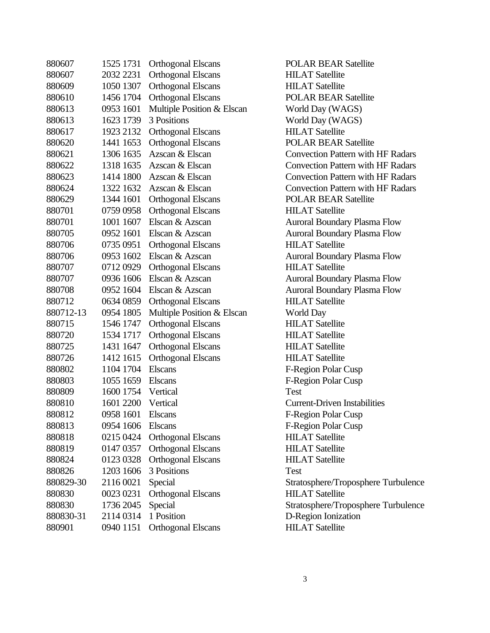| 880607    | 1525 1731 | <b>Orthogonal Elscans</b>  | POL        |
|-----------|-----------|----------------------------|------------|
| 880607    | 2032 2231 | <b>Orthogonal Elscans</b>  | HIL.       |
| 880609    | 1050 1307 | <b>Orthogonal Elscans</b>  | HIL.       |
| 880610    | 1456 1704 | <b>Orthogonal Elscans</b>  | POL        |
| 880613    | 0953 1601 | Multiple Position & Elscan | Wor        |
| 880613    | 1623 1739 | 3 Positions                | Wor        |
| 880617    | 1923 2132 | <b>Orthogonal Elscans</b>  | HIL.       |
| 880620    | 1441 1653 | <b>Orthogonal Elscans</b>  | <b>POL</b> |
| 880621    | 1306 1635 | Azscan & Elscan            | Con        |
| 880622    | 1318 1635 | Azscan & Elscan            | Con        |
| 880623    | 1414 1800 | Azscan & Elscan            | Con        |
| 880624    | 1322 1632 | Azscan & Elscan            | Con        |
| 880629    | 1344 1601 | <b>Orthogonal Elscans</b>  | POL        |
| 880701    | 0759 0958 | <b>Orthogonal Elscans</b>  | HIL.       |
| 880701    | 1001 1607 | Elscan & Azscan            | Auro       |
| 880705    | 0952 1601 | Elscan & Azscan            | Auro       |
| 880706    | 0735 0951 | <b>Orthogonal Elscans</b>  | HIL.       |
| 880706    | 0953 1602 | Elscan & Azscan            | Auro       |
| 880707    | 07120929  | <b>Orthogonal Elscans</b>  | HIL.       |
| 880707    | 0936 1606 | Elscan & Azscan            | Auro       |
| 880708    | 0952 1604 | Elscan & Azscan            | Auro       |
| 880712    | 0634 0859 | <b>Orthogonal Elscans</b>  | HIL.       |
| 880712-13 | 0954 1805 | Multiple Position & Elscan | Wor        |
| 880715    | 1546 1747 | <b>Orthogonal Elscans</b>  | HIL.       |
| 880720    | 1534 1717 | <b>Orthogonal Elscans</b>  | HIL.       |
| 880725    | 1431 1647 | <b>Orthogonal Elscans</b>  | HIL.       |
| 880726    | 1412 1615 | <b>Orthogonal Elscans</b>  | HIL.       |
| 880802    | 1104 1704 | <b>Elscans</b>             | $F-R$      |
| 880803    | 1055 1659 | <b>Elscans</b>             | $F-R$      |
| 880809    | 1600 1754 | Vertical                   | Test       |
| 880810    | 1601 2200 | Vertical                   | Curr       |
| 880812    | 0958 1601 | <b>Elscans</b>             | F-Re       |
| 880813    | 0954 1606 | <b>Elscans</b>             | $F-R$      |
| 880818    | 0215 0424 | <b>Orthogonal Elscans</b>  | HIL.       |
| 880819    | 0147 0357 | <b>Orthogonal Elscans</b>  | <b>HIL</b> |
| 880824    | 0123 0328 | <b>Orthogonal Elscans</b>  | HIL.       |
| 880826    | 1203 1606 | 3 Positions                | Test       |
| 880829-30 | 2116 0021 | Special                    | Strat      |
| 880830    | 0023 0231 | <b>Orthogonal Elscans</b>  | HIL.       |
| 880830    | 1736 2045 | Special                    | Strat      |
| 880830-31 | 2114 0314 | 1 Position                 | $D-R$      |
| 880901    | 0940 1151 | <b>Orthogonal Elscans</b>  | HIL        |

**POLAR BEAR Satellite HILAT Satellite HILAT Satellite** POLAR BEAR Satellite World Day (WAGS) World Day (WAGS) HILAT Satellite POLAR BEAR Satellite Convection Pattern with HF Radars Convection Pattern with HF Radars **Convection Pattern with HF Radars Convection Pattern with HF Radars** POLAR BEAR Satellite **HILAT Satellite** Auroral Boundary Plasma Flow Auroral Boundary Plasma Flow **HILAT Satellite** Auroral Boundary Plasma Flow **HILAT Satellite** Auroral Boundary Plasma Flow Auroral Boundary Plasma Flow HILAT Satellite World Day **HILAT Satellite HILAT Satellite HILAT Satellite HILAT Satellite** F-Region Polar Cusp F-Region Polar Cusp **Current-Driven Instabilities** F-Region Polar Cusp F-Region Polar Cusp **HILAT Satellite HILAT Satellite HILAT Satellite** Stratosphere/Troposphere Turbulence **HILAT Satellite** Stratosphere/Troposphere Turbulence D-Region Ionization **HILAT Satellite**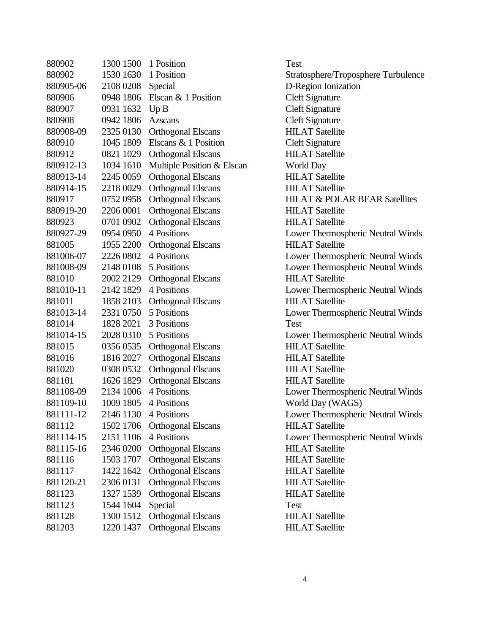| 880902    | 1300 1500           | 1 Position                 | Test  |
|-----------|---------------------|----------------------------|-------|
| 880902    | 1530 1630           | 1 Position                 | Strat |
| 880905-06 | 2108 0208           | Special                    | $D-R$ |
| 880906    | 0948 1806           | Elscan & 1 Position        | Clef  |
| 880907    | 0931 1632           | Up B                       | Clef  |
| 880908    | 0942 1806           | <b>Azscans</b>             | Clef  |
| 880908-09 | 2325 0130           | <b>Orthogonal Elscans</b>  | HIL.  |
| 880910    | 1045 1809           | Elscans & 1 Position       | Clef  |
| 880912    | 0821 1029           | <b>Orthogonal Elscans</b>  | HIL.  |
| 880912-13 | 1034 1610           | Multiple Position & Elscan | Wor   |
| 880913-14 | 2245 0059           | <b>Orthogonal Elscans</b>  | HIL.  |
| 880914-15 | 2218 0029           | <b>Orthogonal Elscans</b>  | HIL.  |
| 880917    | 0752 0958           | <b>Orthogonal Elscans</b>  | HIL.  |
| 880919-20 | 2206 0001           | <b>Orthogonal Elscans</b>  | HIL.  |
| 880923    | 0701 0902           | <b>Orthogonal Elscans</b>  | HIL.  |
| 880927-29 | 0954 0950           | 4 Positions                | Low   |
| 881005    | 1955 2200           | <b>Orthogonal Elscans</b>  | HIL.  |
| 881006-07 | 2226 0802           | 4 Positions                | Low   |
| 881008-09 | 2148 0108           | 5 Positions                | Low   |
| 881010    | 2002 2129           | <b>Orthogonal Elscans</b>  | HIL.  |
| 881010-11 | 2142 1829           | 4 Positions                | Low   |
| 881011    | 1858 2103           | <b>Orthogonal Elscans</b>  | HIL.  |
| 881013-14 | 2331 0750           | 5 Positions                | Low   |
| 881014    | 1828 2021           | 3 Positions                | Test  |
| 881014-15 | 2028 0310           | 5 Positions                | Low   |
| 881015    | 0356 0535           | <b>Orthogonal Elscans</b>  | HIL.  |
| 881016    | 1816 2027           | <b>Orthogonal Elscans</b>  | HIL.  |
| 881020    | 0308 0532           | <b>Orthogonal Elscans</b>  | HIL.  |
| 881101    | 1626 1829           | <b>Orthogonal Elscans</b>  | HIL.  |
| 881108-09 | 2134 1006           | 4 Positions                | Low   |
|           | 881109-10 1009 1805 | 4 Positions                | Wor   |
| 881111-12 | 2146 1130           | 4 Positions                | Low   |
| 881112    | 1502 1706           | <b>Orthogonal Elscans</b>  | HIL.  |
| 881114-15 | 2151 1106           | 4 Positions                | Low   |
| 881115-16 | 2346 0200           | <b>Orthogonal Elscans</b>  | HIL.  |
| 881116    | 1503 1707           | <b>Orthogonal Elscans</b>  | HIL.  |
| 881117    | 1422 1642           | <b>Orthogonal Elscans</b>  | HIL.  |
| 881120-21 | 2306 0131           | <b>Orthogonal Elscans</b>  | HIL.  |
| 881123    | 1327 1539           | <b>Orthogonal Elscans</b>  | HIL.  |
| 881123    | 1544 1604           | Special                    | Test  |
| 881128    | 1300 1512           | <b>Orthogonal Elscans</b>  | HIL.  |
| 881203    | 1220 1437           | <b>Orthogonal Elscans</b>  | HIL.  |

Stratosphere/Troposphere Turbulence D-Region Ionization Cleft Signature **Cleft Signature Cleft Signature** HILAT Satellite **Cleft Signature** HILAT Satellite n World Day HILAT Satellite HILAT Satellite HILAT & POLAR BEAR Satellites HILAT Satellite **HILAT Satellite** Lower Thermospheric Neutral Winds HILAT Satellite Lower Thermospheric Neutral Winds Lower Thermospheric Neutral Winds **HILAT Satellite** Lower Thermospheric Neutral Winds **HILAT Satellite** Lower Thermospheric Neutral Winds Lower Thermospheric Neutral Winds **HILAT Satellite HILAT Satellite HILAT Satellite HILAT Satellite** Lower Thermospheric Neutral Winds World Day (WAGS) Lower Thermospheric Neutral Winds **HILAT Satellite** Lower Thermospheric Neutral Winds **HILAT Satellite HILAT Satellite HILAT Satellite HILAT Satellite HILAT Satellite HILAT Satellite HILAT Satellite**